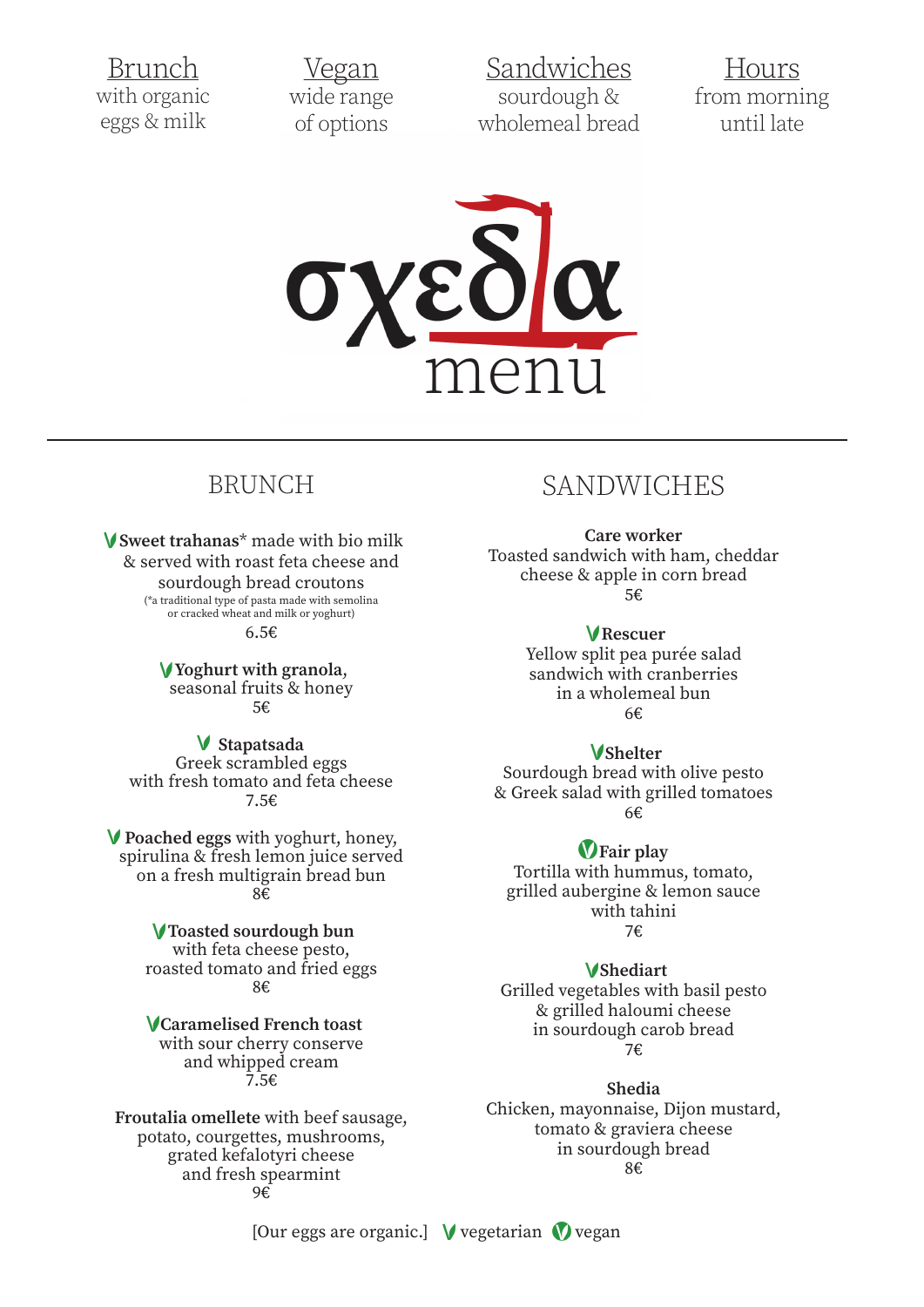Brunch with organic eggs & milk

Vegan wide range of options

Sandwiches sourdough & wholemeal bread

Hours from morning until late



## **BRUNCH**

V Sweet trahanas<sup>\*</sup> made with bio milk & served with roast feta cheese and sourdough bread croutons

> (\*a traditional type of pasta made with semolina or cracked wheat and milk or yoghurt)  $6.5€$

V Yoghurt with granola, seasonal fruits & honey 5€

V Stapatsada Greek scrambled eggs with fresh tomato and feta cheese 7.5€

V Poached eggs with yoghurt, honey, spirulina & fresh lemon juice served on a fresh multigrain bread bun 8€

### V Toasted sourdough bun

with feta cheese pesto, roasted tomato and fried eggs  $8f$ 

**VCaramelised French toast** with sour cherry conserve and whipped cream 7.5€

Froutalia omellete with beef sausage, potato, courgettes, mushrooms, grated kefalotyri cheese and fresh spearmint  $9\epsilon$ 

## **SANDWICHES**

**Care worker** Toasted sandwich with ham, cheddar cheese & apple in corn bread 5€

> VRescuer Yellow split pea purée salad sandwich with cranberries in a wholemeal bun  $6E$

### **V**Shelter

Sourdough bread with olive pesto & Greek salad with grilled tomatoes 6€

#### **V**Fair play

Tortilla with hummus, tomato, grilled aubergine & lemon sauce with tahini  $7f$ 

#### **V**Shediart

Grilled vegetables with basil pesto & grilled haloumi cheese in sourdough carob bread 7€

Shedia

Chicken, mayonnaise, Dijon mustard, tomato & graviera cheese in sourdough bread  $8f$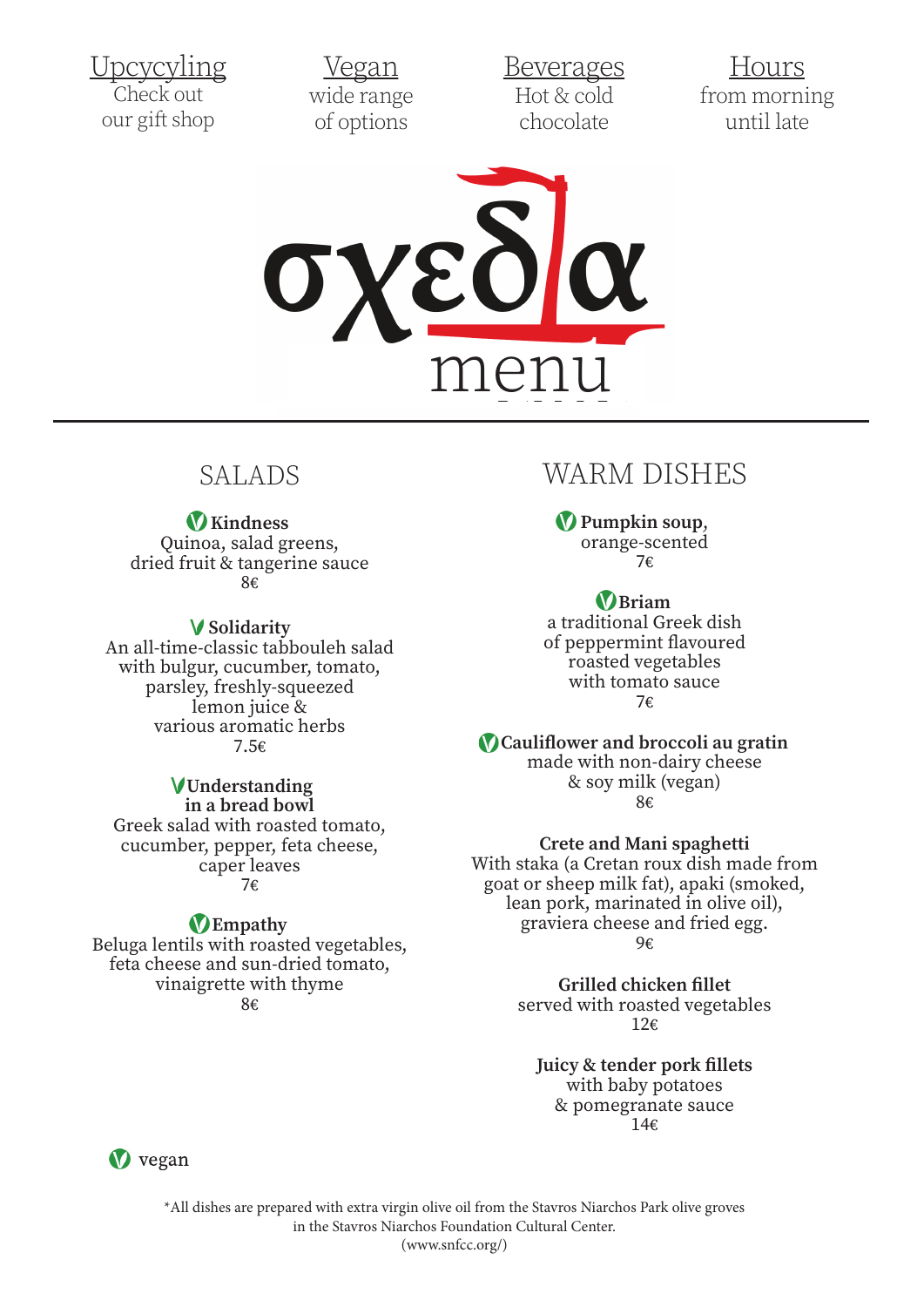<u>Upcycyling</u> Check o our gift shop  $\overline{1}$   $\overline{1}$   $\overline{1}$   $\overline{1}$   $\overline{1}$   $\overline{1}$   $\overline{1}$   $\overline{1}$   $\overline{1}$   $\overline{1}$   $\overline{1}$   $\overline{1}$   $\overline{1}$   $\overline{1}$   $\overline{1}$   $\overline{1}$   $\overline{1}$   $\overline{1}$   $\overline{1}$   $\overline{1}$   $\overline{1}$   $\overline{1}$   $\overline{1}$   $\overline{1}$   $\overline{$ <u>лрсусуш</u>

an an Indonesia.<br>Tanzania <u>Vegan</u> wide range of options  $\overline{M}_{2}$  $\underbrace{vega}$ 

**Beverages**  $Hot & cold$ chocolate  $D_{\text{average}}$  $D$ 

<u>and</u> and a

 $\mathbb{R}^n$ <u>Hours</u> from morning until late  $\overline{\mathbf{H}}$ <u>LIUULS</u>



# SALADS

**V** Kindness

**V** Kindness<br>Quinoa, salad greens, dried fruit & tangerine sauce 8€

## V Solidarity

An all-time-classic tabbouleh salad with bulgur, cucumber, tomato, parsley, freshly-squeezed  $\frac{1}{2}$  lemon juice & emon juice &<br>various aromatic herbs 7.5€ various aromatic herbs<br>7 5c  $\mathcal{L}$ tal<br>...

## VUnderstanding

in a bread bowl Greek salad with roasted tomato, cucumber, pepper, feta cheese, caper leaves 7€  $\sqrt{2}$  $\ln a$  bread bowl salad with roasted tomato

## **D** Empathy

Beluga lentils with roasted vegetables, feta cheese and sun-dried tomato, vinaigrette with thyme 8€  $8\epsilon$ margrette with thyme  $\sigma$ 

# WARM DISHES

Pumpkin soup, orange-scented 7€  $7\varepsilon$  $7\epsilon$ 

Briam a traditional Greek dish of peppermint flavoured roasted vegetables roasted vegetables<br>with tomato sauce 7€  $\frac{1}{\sqrt{2}}$ 

Cauliflower and broccoli au gratin made with non-dairy cheese & soy milk (vegan)  $8\varepsilon$ 

## Crete and Mani spaghetti

With staka (a Cretan roux dish made from rtin staka (a Cretan roux dish made rror.<br>goat or sheep milk fat), apaki (smoked, lean pork, marinated in olive oil), graviera cheese and fried egg.  $96$ 

> Grilled chicken fillet served with roasted vegetables  $12\varepsilon$

Juicy & tender pork fillets with baby potatoes & pomegranate sauce  $14\varepsilon$ - 12 million  $\frac{1}{2}$   $\frac{1}{2}$   $\frac{1}{2}$   $\frac{1}{2}$   $\frac{1}{2}$   $\frac{1}{2}$   $\frac{1}{2}$   $\frac{1}{2}$   $\frac{1}{2}$   $\frac{1}{2}$   $\frac{1}{2}$   $\frac{1}{2}$   $\frac{1}{2}$   $\frac{1}{2}$   $\frac{1}{2}$   $\frac{1}{2}$   $\frac{1}{2}$   $\frac{1}{2}$   $\frac{1}{2}$   $\frac{1}{2}$   $\frac{1}{2}$   $\frac{1}{2}$  15



in the Stavros Niarchos Foundation Cultural Center. \*All dishes are prepared with extra virgin olive oil from the Stavros Niarchos Park olive groves (www.snfcc.org/)